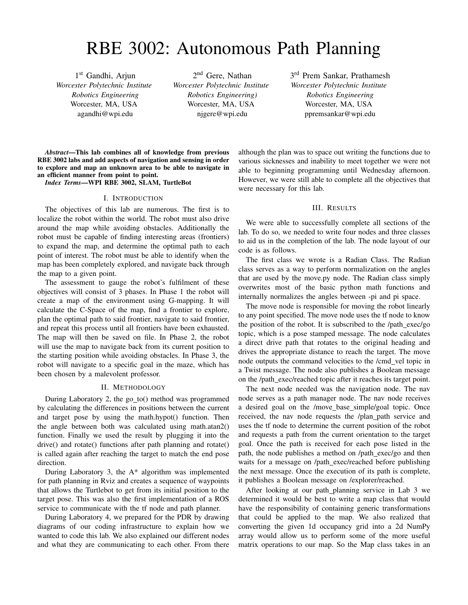# RBE 3002: Autonomous Path Planning

1<sup>st</sup> Gandhi, Arjun *Worcester Polytechnic Institute Robotics Engineering* Worcester, MA, USA agandhi@wpi.edu

2<sup>nd</sup> Gere, Nathan *Worcester Polytechnic Institute Robotics Engineering)* Worcester, MA, USA njgere@wpi.edu

3<sup>rd</sup> Prem Sankar, Prathamesh *Worcester Polytechnic Institute Robotics Engineering* Worcester, MA, USA ppremsankar@wpi.edu

*Abstract*—This lab combines all of knowledge from previous RBE 3002 labs and add aspects of navigation and sensing in order to explore and map an unknown area to be able to navigate in an efficient manner from point to point.

*Index Terms*—WPI RBE 3002, SLAM, TurtleBot

#### I. INTRODUCTION

The objectives of this lab are numerous. The first is to localize the robot within the world. The robot must also drive around the map while avoiding obstacles. Additionally the robot must be capable of finding interesting areas (frontiers) to expand the map, and determine the optimal path to each point of interest. The robot must be able to identify when the map has been completely explored, and navigate back through the map to a given point.

The assessment to gauge the robot's fulfilment of these objectives will consist of 3 phases. In Phase 1 the robot will create a map of the environment using G-mapping. It will calculate the C-Space of the map, find a frontier to explore, plan the optimal path to said frontier, navigate to said frontier, and repeat this process until all frontiers have been exhausted. The map will then be saved on file. In Phase 2, the robot will use the map to navigate back from its current position to the starting position while avoiding obstacles. In Phase 3, the robot will navigate to a specific goal in the maze, which has been chosen by a malevolent professor.

### II. METHODOLOGY

During Laboratory 2, the go\_to() method was programmed by calculating the differences in positions between the current and target pose by using the math.hypot() function. Then the angle between both was calculated using math.atan2() function. Finally we used the result by plugging it into the drive() and rotate() functions after path planning and rotate() is called again after reaching the target to match the end pose direction.

During Laboratory 3, the A\* algorithm was implemented for path planning in Rviz and creates a sequence of waypoints that allows the Turtlebot to get from its initial position to the target pose. This was also the first implementation of a ROS service to communicate with the tf node and path planner.

During Laboratory 4, we prepared for the PDR by drawing diagrams of our coding infrastructure to explain how we wanted to code this lab. We also explained our different nodes and what they are communicating to each other. From there although the plan was to space out writing the functions due to various sicknesses and inability to meet together we were not able to beginning programming until Wednesday afternoon. However, we were still able to complete all the objectives that were necessary for this lab.

#### III. RESULTS

We were able to successfully complete all sections of the lab. To do so, we needed to write four nodes and three classes to aid us in the completion of the lab. The node layout of our code is as follows.

The first class we wrote is a Radian Class. The Radian class serves as a way to perform normalization on the angles that are used by the move.py node. The Radian class simply overwrites most of the basic python math functions and internally normalizes the angles between -pi and pi space.

The move node is responsible for moving the robot linearly to any point specified. The move node uses the tf node to know the position of the robot. It is subscribed to the /path exec/go topic, which is a pose stamped message. The node calculates a direct drive path that rotates to the original heading and drives the appropriate distance to reach the target. The move node outputs the command velocities to the /cmd\_vel topic in a Twist message. The node also publishes a Boolean message on the /path exec/reached topic after it reaches its target point.

The next node needed was the navigation node. The nav node serves as a path manager node. The nav node receives a desired goal on the /move base simple/goal topic. Once received, the nav node requests the /plan path service and uses the tf node to determine the current position of the robot and requests a path from the current orientation to the target goal. Once the path is received for each pose listed in the path, the node publishes a method on /path\_exec/go and then waits for a message on /path\_exec/reached before publishing the next message. Once the execution of its path is complete, it publishes a Boolean message on /explorer/reached.

After looking at our path\_planning service in Lab 3 we determined it would be best to write a map class that would have the responsibility of containing generic transformations that could be applied to the map. We also realized that converting the given 1d occupancy grid into a 2d NumPy array would allow us to perform some of the more useful matrix operations to our map. So the Map class takes in an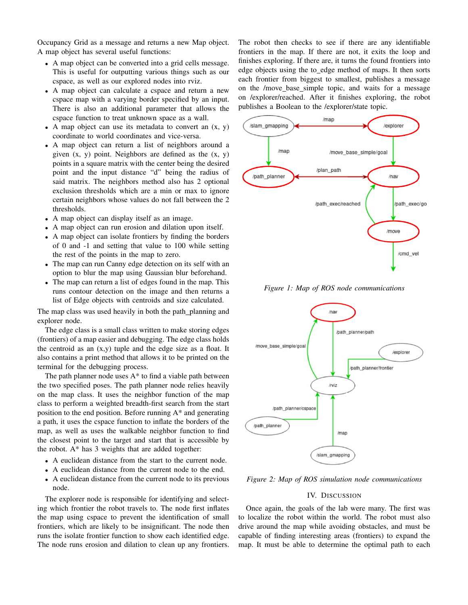Occupancy Grid as a message and returns a new Map object. A map object has several useful functions:

- A map object can be converted into a grid cells message. This is useful for outputting various things such as our cspace, as well as our explored nodes into rviz.
- A map object can calculate a cspace and return a new cspace map with a varying border specified by an input. There is also an additional parameter that allows the cspace function to treat unknown space as a wall.
- A map object can use its metadata to convert an  $(x, y)$ coordinate to world coordinates and vice-versa.
- A map object can return a list of neighbors around a given  $(x, y)$  point. Neighbors are defined as the  $(x, y)$ points in a square matrix with the center being the desired point and the input distance "d" being the radius of said matrix. The neighbors method also has 2 optional exclusion thresholds which are a min or max to ignore certain neighbors whose values do not fall between the 2 thresholds.
- A map object can display itself as an image.
- A map object can run erosion and dilation upon itself.
- A map object can isolate frontiers by finding the borders of 0 and -1 and setting that value to 100 while setting the rest of the points in the map to zero.
- The map can run Canny edge detection on its self with an option to blur the map using Gaussian blur beforehand.
- The map can return a list of edges found in the map. This runs contour detection on the image and then returns a list of Edge objects with centroids and size calculated.

The map class was used heavily in both the path planning and explorer node.

The edge class is a small class written to make storing edges (frontiers) of a map easier and debugging. The edge class holds the centroid as an  $(x,y)$  tuple and the edge size as a float. It also contains a print method that allows it to be printed on the terminal for the debugging process.

The path planner node uses  $A^*$  to find a viable path between the two specified poses. The path planner node relies heavily on the map class. It uses the neighbor function of the map class to perform a weighted breadth-first search from the start position to the end position. Before running A\* and generating a path, it uses the cspace function to inflate the borders of the map, as well as uses the walkable neighbor function to find the closest point to the target and start that is accessible by the robot. A\* has 3 weights that are added together:

- A euclidean distance from the start to the current node.
- A euclidean distance from the current node to the end.
- A euclidean distance from the current node to its previous node.

The explorer node is responsible for identifying and selecting which frontier the robot travels to. The node first inflates the map using cspace to prevent the identification of small frontiers, which are likely to be insignificant. The node then runs the isolate frontier function to show each identified edge. The node runs erosion and dilation to clean up any frontiers. The robot then checks to see if there are any identifiable frontiers in the map. If there are not, it exits the loop and finishes exploring. If there are, it turns the found frontiers into edge objects using the to edge method of maps. It then sorts each frontier from biggest to smallest, publishes a message on the /move base simple topic, and waits for a message on /explorer/reached. After it finishes exploring, the robot publishes a Boolean to the /explorer/state topic.



*Figure 1: Map of ROS node communications*



*Figure 2: Map of ROS simulation node communications*

#### IV. DISCUSSION

Once again, the goals of the lab were many. The first was to localize the robot within the world. The robot must also drive around the map while avoiding obstacles, and must be capable of finding interesting areas (frontiers) to expand the map. It must be able to determine the optimal path to each